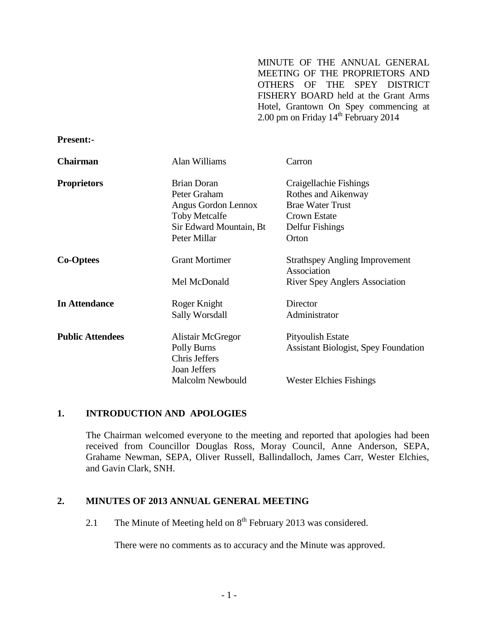MINUTE OF THE ANNUAL GENERAL MEETING OF THE PROPRIETORS AND OTHERS OF THE SPEY DISTRICT FISHERY BOARD held at the Grant Arms Hotel, Grantown On Spey commencing at 2.00 pm on Friday  $14<sup>th</sup>$  February 2014

#### **Present:-**

| <b>Chairman</b>         | <b>Alan Williams</b>    | Carron                                               |
|-------------------------|-------------------------|------------------------------------------------------|
| <b>Proprietors</b>      | <b>Brian Doran</b>      | Craigellachie Fishings                               |
|                         | Peter Graham            | Rothes and Aikenway                                  |
|                         | Angus Gordon Lennox     | <b>Brae Water Trust</b>                              |
|                         | <b>Toby Metcalfe</b>    | Crown Estate                                         |
|                         | Sir Edward Mountain, Bt | Delfur Fishings                                      |
|                         | Peter Millar            | Orton                                                |
| <b>Co-Optees</b>        | <b>Grant Mortimer</b>   | <b>Strathspey Angling Improvement</b><br>Association |
|                         | Mel McDonald            | <b>River Spey Anglers Association</b>                |
| <b>In Attendance</b>    | Roger Knight            | Director                                             |
|                         | Sally Worsdall          | Administrator                                        |
| <b>Public Attendees</b> | Alistair McGregor       | Pityoulish Estate                                    |
|                         | Polly Burns             | <b>Assistant Biologist, Spey Foundation</b>          |
|                         | Chris Jeffers           |                                                      |
|                         | Joan Jeffers            |                                                      |
|                         | <b>Malcolm Newbould</b> | <b>Wester Elchies Fishings</b>                       |

#### **1. INTRODUCTION AND APOLOGIES**

The Chairman welcomed everyone to the meeting and reported that apologies had been received from Councillor Douglas Ross, Moray Council, Anne Anderson, SEPA, Grahame Newman, SEPA, Oliver Russell, Ballindalloch, James Carr, Wester Elchies, and Gavin Clark, SNH.

#### **2. MINUTES OF 2013 ANNUAL GENERAL MEETING**

2.1 The Minute of Meeting held on  $8<sup>th</sup>$  February 2013 was considered.

There were no comments as to accuracy and the Minute was approved.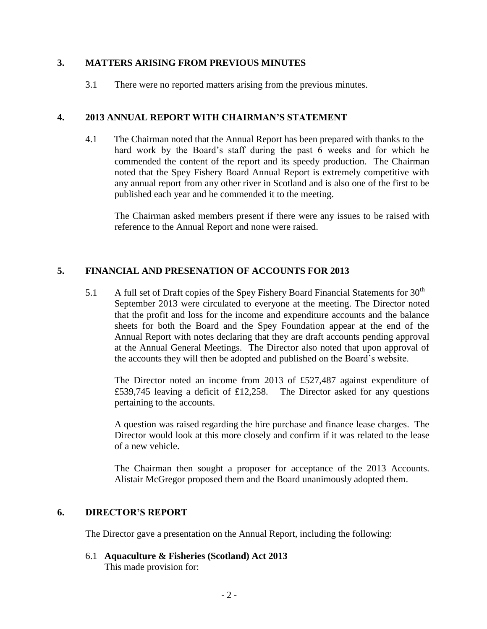## **3. MATTERS ARISING FROM PREVIOUS MINUTES**

3.1 There were no reported matters arising from the previous minutes.

## **4. 2013 ANNUAL REPORT WITH CHAIRMAN'S STATEMENT**

4.1 The Chairman noted that the Annual Report has been prepared with thanks to the hard work by the Board's staff during the past 6 weeks and for which he commended the content of the report and its speedy production. The Chairman noted that the Spey Fishery Board Annual Report is extremely competitive with any annual report from any other river in Scotland and is also one of the first to be published each year and he commended it to the meeting.

The Chairman asked members present if there were any issues to be raised with reference to the Annual Report and none were raised.

## **5. FINANCIAL AND PRESENATION OF ACCOUNTS FOR 2013**

5.1 A full set of Draft copies of the Spey Fishery Board Financial Statements for  $30<sup>th</sup>$ September 2013 were circulated to everyone at the meeting. The Director noted that the profit and loss for the income and expenditure accounts and the balance sheets for both the Board and the Spey Foundation appear at the end of the Annual Report with notes declaring that they are draft accounts pending approval at the Annual General Meetings. The Director also noted that upon approval of the accounts they will then be adopted and published on the Board's website.

The Director noted an income from 2013 of £527,487 against expenditure of £539,745 leaving a deficit of £12,258. The Director asked for any questions pertaining to the accounts.

A question was raised regarding the hire purchase and finance lease charges. The Director would look at this more closely and confirm if it was related to the lease of a new vehicle.

The Chairman then sought a proposer for acceptance of the 2013 Accounts. Alistair McGregor proposed them and the Board unanimously adopted them.

### **6. DIRECTOR'S REPORT**

The Director gave a presentation on the Annual Report, including the following:

6.1 **Aquaculture & Fisheries (Scotland) Act 2013** This made provision for: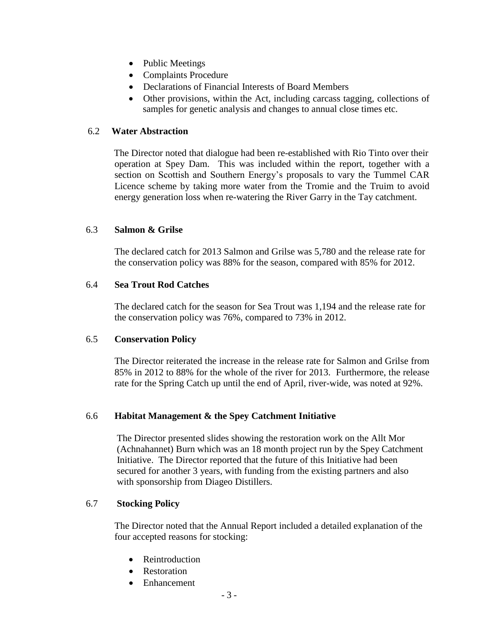- Public Meetings
- Complaints Procedure
- Declarations of Financial Interests of Board Members
- Other provisions, within the Act, including carcass tagging, collections of samples for genetic analysis and changes to annual close times etc.

## 6.2 **Water Abstraction**

 The Director noted that dialogue had been re-established with Rio Tinto over their operation at Spey Dam. This was included within the report, together with a section on Scottish and Southern Energy's proposals to vary the Tummel CAR Licence scheme by taking more water from the Tromie and the Truim to avoid energy generation loss when re-watering the River Garry in the Tay catchment.

## 6.3 **Salmon & Grilse**

 The declared catch for 2013 Salmon and Grilse was 5,780 and the release rate for the conservation policy was 88% for the season, compared with 85% for 2012.

### 6.4 **Sea Trout Rod Catches**

 The declared catch for the season for Sea Trout was 1,194 and the release rate for the conservation policy was 76%, compared to 73% in 2012.

### 6.5 **Conservation Policy**

The Director reiterated the increase in the release rate for Salmon and Grilse from 85% in 2012 to 88% for the whole of the river for 2013. Furthermore, the release rate for the Spring Catch up until the end of April, river-wide, was noted at 92%.

### 6.6 **Habitat Management & the Spey Catchment Initiative**

The Director presented slides showing the restoration work on the Allt Mor (Achnahannet) Burn which was an 18 month project run by the Spey Catchment Initiative. The Director reported that the future of this Initiative had been secured for another 3 years, with funding from the existing partners and also with sponsorship from Diageo Distillers.

### 6.7 **Stocking Policy**

 The Director noted that the Annual Report included a detailed explanation of the four accepted reasons for stocking:

- Reintroduction
- Restoration
- Enhancement